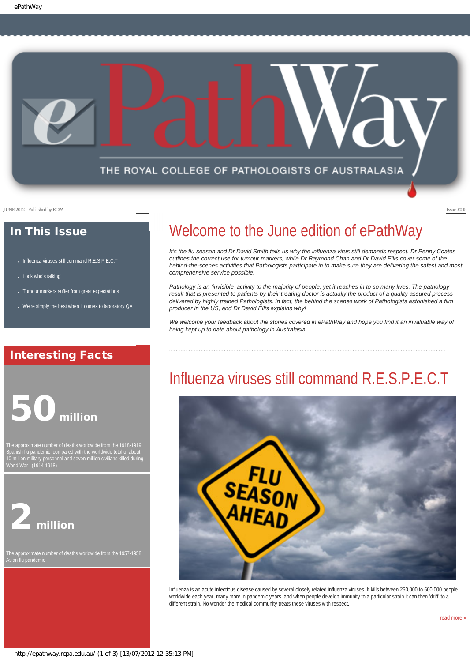

### In This Issue

- [Influenza viruses still command R.E.S.P.E.C.T](#page-0-0)
- [Look who](#page-1-0)'s talking!
- [Tumour markers suffer from great expectations](#page-1-1)
- We'[re simply the best when it comes to laboratory QA](#page-1-2)

### <span id="page-0-0"></span>Interesting Facts

# 50 million

The approximate number of deaths worldwide from the 1918-1919 Spanish flu pandemic, compared with the worldwide total of about World War I (1914-1918)



The approximate number of deaths worldwide from the 1957-1958 Asian flu pandemic

## Welcome to the June edition of ePathWay

*It*<sup>'</sup>s the flu season and Dr David Smith tells us why the influenza virus still demands respect. Dr Penny Coates *outlines the correct use for tumour markers, while Dr Raymond Chan and Dr David Ellis cover some of the behind-the-scenes activities that Pathologists participate in to make sure they are delivering the safest and most comprehensive service possible.* 

*Pathology is an 'invisible' activity to the majority of people, yet it reaches in to so many lives. The pathology result that is presented to patients by their treating doctor is actually the product of a quality assured process delivered by highly trained Pathologists. In fact, the behind the scenes work of Pathologists astonished a film producer in the US, and Dr David Ellis explains why!*

We welcome your feedback about the stories covered in ePathWay and hope you find it an invaluable way of *being kept up to date about pathology in Australasia.*

## Influenza viruses still command R.E.S.P.E.C.T



Influenza is an acute infectious disease caused by several closely related influenza viruses. It kills between 250,000 to 500,000 people worldwide each year, many more in pandemic years, and when people develop immunity to a particular strain it can then 'drift' to a different strain. No wonder the medical community treats these viruses with respect.

[read more »](#page-2-0)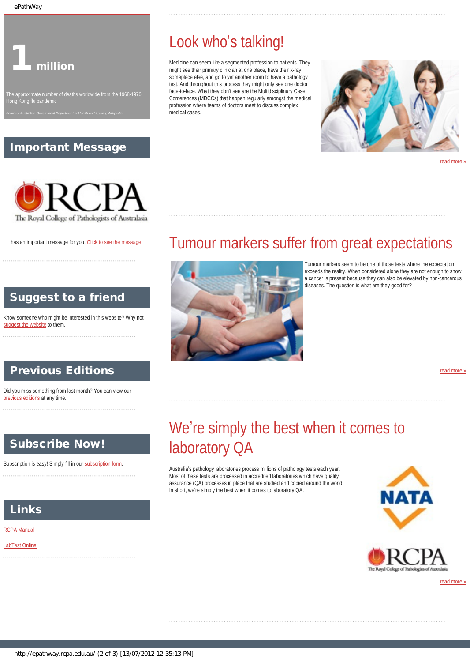<span id="page-1-0"></span>ePathWay

## 1 million

### Important Message

*Sources: Australian Government Department of Health and Ageing; Wikipedia*

## Look who's talking!

Medicine can seem like a segmented profession to patients. They might see their primary clinician at one place, have their x-ray someplace else, and go to yet another room to have a pathology test. And throughout this process they might only see one doctor face-to-face. What they don't see are the Multidisciplinary Case Conferences (MDCCs) that happen regularly amongst the medical profession where teams of doctors meet to discuss complex medical cases.



[read more »](#page-4-0)



<span id="page-1-1"></span>has an important message for you. [Click to see the message!](http://epathway.rcpa.edu.au/notice.html)

### Suggest to a friend

Know someone who might be interested in this website? Why not [suggest the website](mailto:?Subject=I%20think%20you%20should%20read%20this%20Newsletter=
http://epathway.rcpa.edu.au/index.html) to them.

### Previous Editions

Did you miss something from last month? You can view our [previous editions](http://epathway.rcpa.edu.au/previous.html) at any time.

### <span id="page-1-2"></span>Subscribe Now!

Subscription is easy! Simply fill in our [subscription form.](http://epathway.rcpa.edu.au/subscription.html)



Tumour markers seem to be one of those tests where the expectation exceeds the reality. When considered alone they are not enough to show a cancer is present because they can also be elevated by non-cancerous diseases. The question is what are they good for?

### [read more »](#page-6-0)

## We're simply the best when it comes to laboratory QA

Tumour markers suffer from great expectations

Australia's pathology laboratories process millions of pathology tests each year. Most of these tests are processed in accredited laboratories which have quality assurance (QA) processes in place that are studied and copied around the world. In short, we're simply the best when it comes to laboratory QA.





[read more »](#page-8-0)

### Links

[RCPA Manual](http://rcpamanual.edu.au/)

#### [LabTest Online](http://www.labtestsonline.org.au/)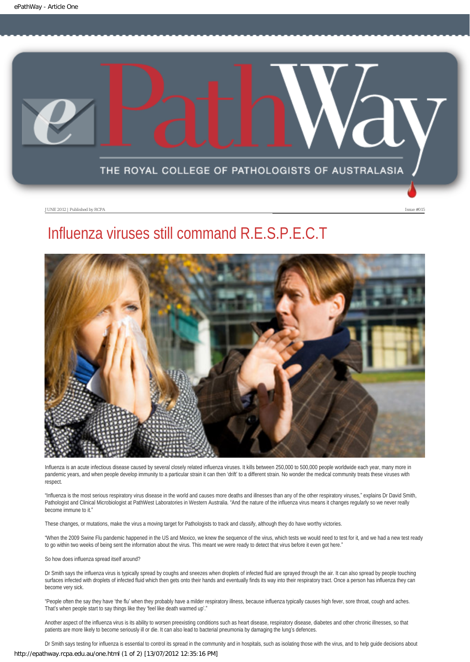<span id="page-2-0"></span>

## Influenza viruses still command R.E.S.P.E.C.T



Influenza is an acute infectious disease caused by several closely related influenza viruses. It kills between 250,000 to 500,000 people worldwide each year, many more in pandemic years, and when people develop immunity to a particular strain it can then 'drift' to a different strain. No wonder the medical community treats these viruses with respect.

"Influenza is the most serious respiratory virus disease in the world and causes more deaths and illnesses than any of the other respiratory viruses," explains Dr David Smith, Pathologist and Clinical Microbiologist at PathWest Laboratories in Western Australia. "And the nature of the influenza virus means it changes regularly so we never really become immune to it."

These changes, or mutations, make the virus a moving target for Pathologists to track and classify, although they do have worthy victories.

"When the 2009 Swine Flu pandemic happened in the US and Mexico, we knew the sequence of the virus, which tests we would need to test for it, and we had a new test ready to go within two weeks of being sent the information about the virus. This meant we were ready to detect that virus before it even got here."

So how does influenza spread itself around?

Dr Smith says the influenza virus is typically spread by coughs and sneezes when droplets of infected fluid are sprayed through the air. It can also spread by people touching surfaces infected with droplets of infected fluid which then gets onto their hands and eventually finds its way into their respiratory tract. Once a person has influenza they can become very sick.

"People often the say they have 'the flu' when they probably have a milder respiratory illness, because influenza typically causes high fever, sore throat, cough and aches. That's when people start to say things like they 'feel like death warmed up'."

Another aspect of the influenza virus is its ability to worsen preexisting conditions such as heart disease, respiratory disease, diabetes and other chronic illnesses, so that patients are more likely to become seriously ill or die. It can also lead to bacterial pneumonia by damaging the lung's defences.

Dr Smith says testing for influenza is essential to control its spread in the community and in hospitals, such as isolating those with the virus, and to help guide decisions about http://epathway.rcpa.edu.au/one.html (1 of 2) [13/07/2012 12:35:16 PM]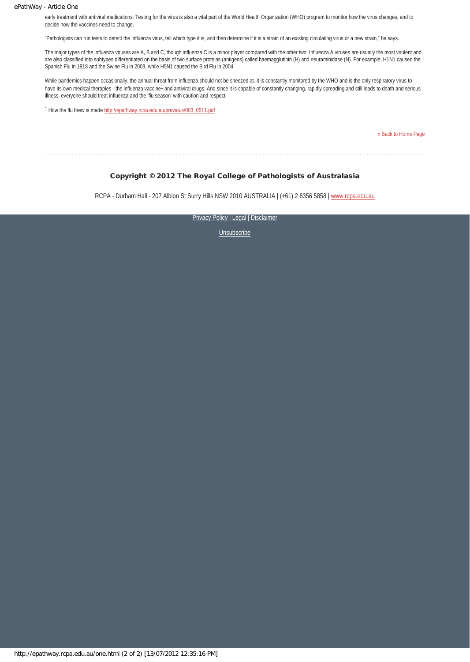#### ePathWay - Article One

early treatment with antiviral medications. Testing for the virus is also a vital part of the World Health Organization (WHO) program to monitor how the virus changes, and to decide how the vaccines need to change.

"Pathologists can run tests to detect the influenza virus, tell which type it is, and then determine if it is a strain of an existing circulating virus or a new strain," he says.

The major types of the influenza viruses are A, B and C, though influenza C is a minor player compared with the other two. Influenza A viruses are usually the most virulent and are also classified into subtypes differentiated on the basis of two surface proteins (antigens) called haemagglutinin (H) and neuraminidase (N). For example, H1N1 caused the Spanish Flu in 1918 and the Swine Flu in 2009, while H5N1 caused the Bird Flu in 2004.

While pandemics happen occasionally, the annual threat from influenza should not be sneezed at. It is constantly monitored by the WHO and is the only respiratory virus to have its own medical therapies - the influenza vaccine<sup>1</sup> and antiviral drugs. And since it is capable of constantly changing, rapidly spreading and still leads to death and serious illness, everyone should treat influenza and the 'flu season' with caution and respect.

1 How the flu brew is made [http://epathway.rcpa.edu.au/previous/003\\_0511.pdf](http://epathway.rcpa.edu.au/previous/003_0511.pdf)

[« Back to Home Page](http://epathway.rcpa.edu.au/index.html)

<u>. . . . . . . . .</u>

#### Copyright © 2012 The Royal College of Pathologists of Australasia

RCPA - Durham Hall - 207 Albion St Surry Hills NSW 2010 AUSTRALIA | (+61) 2 8356 5858 | [www.rcpa.edu.au](http://www.rcpa.edu.au/)

[Privacy Policy](http://www.rcpa.edu.au/Privacy.htm) | [Legal](http://www.rcpa.edu.au/Legal.htm) | Disclaimer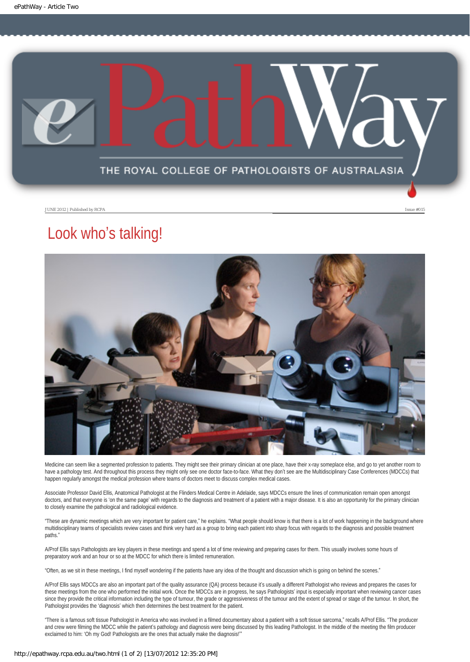<span id="page-4-0"></span>

## Look who's talking!



Medicine can seem like a segmented profession to patients. They might see their primary clinician at one place, have their x-ray someplace else, and go to yet another room to have a pathology test. And throughout this process they might only see one doctor face-to-face. What they don't see are the Multidisciplinary Case Conferences (MDCCs) that happen regularly amongst the medical profession where teams of doctors meet to discuss complex medical cases.

Associate Professor David Ellis, Anatomical Pathologist at the Flinders Medical Centre in Adelaide, says MDCCs ensure the lines of communication remain open amongst doctors, and that everyone is 'on the same page' with regards to the diagnosis and treatment of a patient with a major disease. It is also an opportunity for the primary clinician to closely examine the pathological and radiological evidence.

"These are dynamic meetings which are very important for patient care," he explains. "What people should know is that there is a lot of work happening in the background where multidisciplinary teams of specialists review cases and think very hard as a group to bring each patient into sharp focus with regards to the diagnosis and possible treatment paths."

A/Prof Ellis says Pathologists are key players in these meetings and spend a lot of time reviewing and preparing cases for them. This usually involves some hours of preparatory work and an hour or so at the MDCC for which there is limited remuneration.

"Often, as we sit in these meetings, I find myself wondering if the patients have any idea of the thought and discussion which is going on behind the scenes."

A/Prof Ellis says MDCCs are also an important part of the quality assurance (QA) process because it's usually a different Pathologist who reviews and prepares the cases for these meetings from the one who performed the initial work. Once the MDCCs are in progress, he says Pathologists' input is especially important when reviewing cancer cases since they provide the critical information including the type of tumour, the grade or aggressiveness of the tumour and the extent of spread or stage of the tumour. In short, the Pathologist provides the 'diagnosis' which then determines the best treatment for the patient.

"There is a famous soft tissue Pathologist in America who was involved in a filmed documentary about a patient with a soft tissue sarcoma," recalls A/Prof Ellis. "The producer and crew were filming the MDCC while the patient's pathology and diagnosis were being discussed by this leading Pathologist. In the middle of the meeting the film producer exclaimed to him: 'Oh my God! Pathologists are the ones that actually make the diagnosis!'"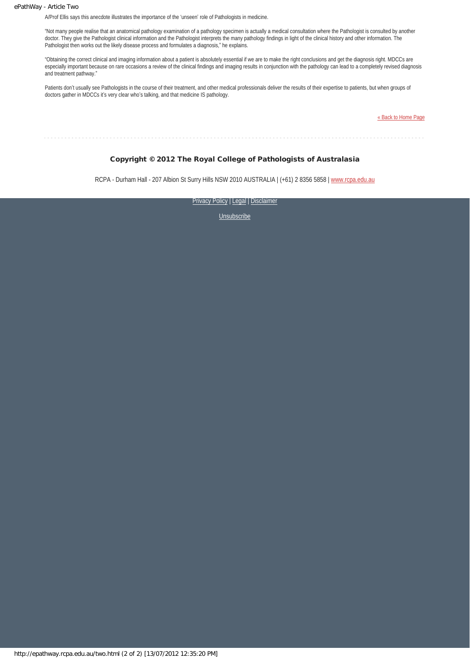#### ePathWay - Article Two

A/Prof Ellis says this anecdote illustrates the importance of the 'unseen' role of Pathologists in medicine.

"Not many people realise that an anatomical pathology examination of a pathology specimen is actually a medical consultation where the Pathologist is consulted by another doctor. They give the Pathologist clinical information and the Pathologist interprets the many pathology findings in light of the clinical history and other information. The Pathologist then works out the likely disease process and formulates a diagnosis," he explains.

"Obtaining the correct clinical and imaging information about a patient is absolutely essential if we are to make the right conclusions and get the diagnosis right. MDCCs are especially important because on rare occasions a review of the clinical findings and imaging results in conjunction with the pathology can lead to a completely revised diagnosis and treatment pathway."

Patients don't usually see Pathologists in the course of their treatment, and other medical professionals deliver the results of their expertise to patients, but when groups of doctors gather in MDCCs it's very clear who's talking, and that medicine IS pathology.

[« Back to Home Page](http://epathway.rcpa.edu.au/index.html)

#### Copyright © 2012 The Royal College of Pathologists of Australasia

RCPA - Durham Hall - 207 Albion St Surry Hills NSW 2010 AUSTRALIA | (+61) 2 8356 5858 | [www.rcpa.edu.au](http://www.rcpa.edu.au/)

[Privacy Policy](http://www.rcpa.edu.au/Privacy.htm) | [Legal](http://www.rcpa.edu.au/Legal.htm) | Disclaimer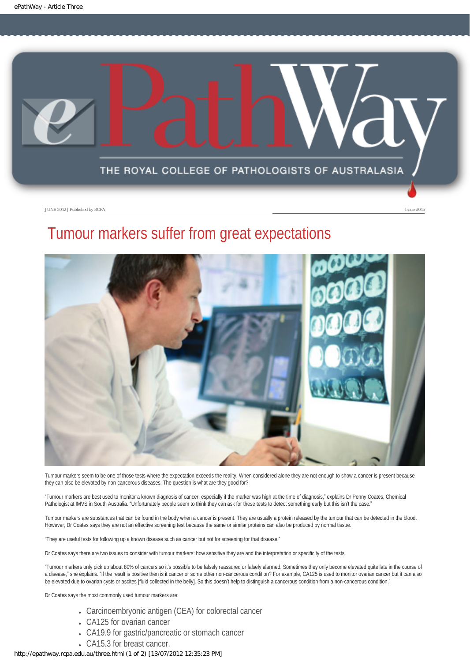<span id="page-6-0"></span>

## Tumour markers suffer from great expectations



Tumour markers seem to be one of those tests where the expectation exceeds the reality. When considered alone they are not enough to show a cancer is present because they can also be elevated by non-cancerous diseases. The question is what are they good for?

"Tumour markers are best used to monitor a known diagnosis of cancer, especially if the marker was high at the time of diagnosis," explains Dr Penny Coates, Chemical Pathologist at IMVS in South Australia. "Unfortunately people seem to think they can ask for these tests to detect something early but this isn't the case."

Tumour markers are substances that can be found in the body when a cancer is present. They are usually a protein released by the tumour that can be detected in the blood. However, Dr Coates says they are not an effective screening test because the same or similar proteins can also be produced by normal tissue.

"They are useful tests for following up a known disease such as cancer but not for screening for that disease."

Dr Coates says there are two issues to consider with tumour markers: how sensitive they are and the interpretation or specificity of the tests.

"Tumour markers only pick up about 80% of cancers so it's possible to be falsely reassured or falsely alarmed. Sometimes they only become elevated quite late in the course of a disease," she explains. "If the result is positive then is it cancer or some other non-cancerous condition? For example, CA125 is used to monitor ovarian cancer but it can also be elevated due to ovarian cysts or ascites [fluid collected in the belly]. So this doesn't help to distinguish a cancerous condition from a non-cancerous condition."

Dr Coates says the most commonly used tumour markers are:

- Carcinoembryonic antigen (CEA) for colorectal cancer
- CA125 for ovarian cancer
- CA19.9 for gastric/pancreatic or stomach cancer
- CA15.3 for breast cancer.

#### http://epathway.rcpa.edu.au/three.html (1 of 2) [13/07/2012 12:35:23 PM]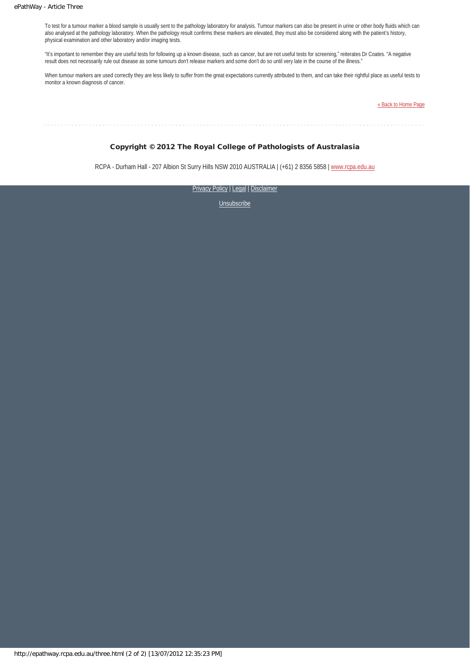To test for a tumour marker a blood sample is usually sent to the pathology laboratory for analysis. Tumour markers can also be present in urine or other body fluids which can also analysed at the pathology laboratory. When the pathology result confirms these markers are elevated, they must also be considered along with the patient's history, physical examination and other laboratory and/or imaging tests.

"It's important to remember they are useful tests for following up a known disease, such as cancer, but are not useful tests for screening," reiterates Dr Coates. "A negative result does not necessarily rule out disease as some tumours don't release markers and some don't do so until very late in the course of the illness."

When tumour markers are used correctly they are less likely to suffer from the great expectations currently attributed to them, and can take their rightful place as useful tests to monitor a known diagnosis of cancer.

[« Back to Home Page](http://epathway.rcpa.edu.au/index.html)

#### Copyright © 2012 The Royal College of Pathologists of Australasia

RCPA - Durham Hall - 207 Albion St Surry Hills NSW 2010 AUSTRALIA | (+61) 2 8356 5858 | [www.rcpa.edu.au](http://www.rcpa.edu.au/)

[Privacy Policy](http://www.rcpa.edu.au/Privacy.htm) | [Legal](http://www.rcpa.edu.au/Legal.htm) | Disclaimer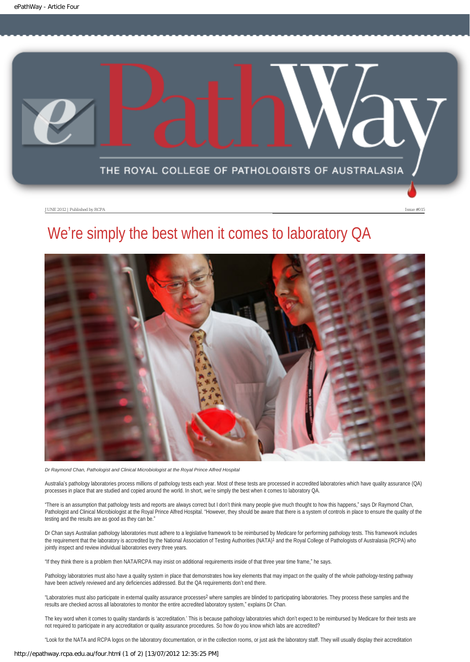<span id="page-8-0"></span>

## We're simply the best when it comes to laboratory QA



*Dr Raymond Chan, Pathologist and Clinical Microbiologist at the Royal Prince Alfred Hospital*

Australia's pathology laboratories process millions of pathology tests each year. Most of these tests are processed in accredited laboratories which have quality assurance (QA) processes in place that are studied and copied around the world. In short, we're simply the best when it comes to laboratory QA.

"There is an assumption that pathology tests and reports are always correct but I don't think many people give much thought to how this happens," says Dr Raymond Chan, Pathologist and Clinical Microbiologist at the Royal Prince Alfred Hospital. "However, they should be aware that there is a system of controls in place to ensure the quality of the testing and the results are as good as they can be."

Dr Chan says Australian pathology laboratories must adhere to a legislative framework to be reimbursed by Medicare for performing pathology tests. This framework includes the requirement that the laboratory is accredited by the National Association of Testing Authorities (NATA)<sup>1</sup> and the Royal College of Pathologists of Australasia (RCPA) who jointly inspect and review individual laboratories every three years.

"If they think there is a problem then NATA/RCPA may insist on additional requirements inside of that three year time frame," he says.

Pathology laboratories must also have a quality system in place that demonstrates how key elements that may impact on the quality of the whole pathology-testing pathway have been actively reviewed and any deficiencies addressed. But the QA requirements don't end there.

"Laboratories must also participate in external quality assurance processes2 where samples are blinded to participating laboratories. They process these samples and the results are checked across all laboratories to monitor the entire accredited laboratory system," explains Dr Chan.

The key word when it comes to quality standards is 'accreditation.' This is because pathology laboratories which don't expect to be reimbursed by Medicare for their tests are not required to participate in any accreditation or quality assurance procedures. So how do you know which labs are accredited?

"Look for the NATA and RCPA logos on the laboratory documentation, or in the collection rooms, or just ask the laboratory staff. They will usually display their accreditation